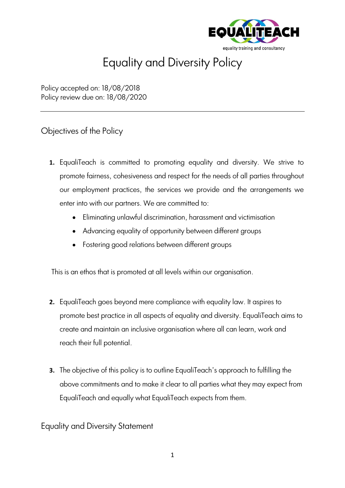

## Equality and Diversity Policy

Policy accepted on: 18/08/2018 Policy review due on: 18/08/2020

## Objectives of the Policy

- **1.** EqualiTeach is committed to promoting equality and diversity. We strive to promote fairness, cohesiveness and respect for the needs of all parties throughout our employment practices, the services we provide and the arrangements we enter into with our partners. We are committed to:
	- Eliminating unlawful discrimination, harassment and victimisation
	- Advancing equality of opportunity between different groups
	- Fostering good relations between different groups

This is an ethos that is promoted at all levels within our organisation.

- **2.** EqualiTeach goes beyond mere compliance with equality law. It aspires to promote best practice in all aspects of equality and diversity. EqualiTeach aims to create and maintain an inclusive organisation where all can learn, work and reach their full potential.
- **3.** The objective of this policy is to outline EqualiTeach's approach to fulfilling the above commitments and to make it clear to all parties what they may expect from EqualiTeach and equally what EqualiTeach expects from them.

Equality and Diversity Statement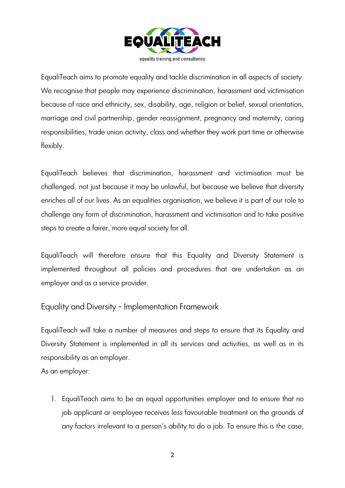

EqualiTeach aims to promote equality and tackle discrimination in all aspects of society. We recognise that people may experience discrimination, harassment and victimisation because of race and ethnicity, sex, disability, age, religion or belief, sexual orientation, marriage and civil partnership, gender reassignment, pregnancy and maternity, caring responsibilities, trade union activity, class and whether they work part time or otherwise flexibly.

EqualiTeach believes that discrimination, harassment and victimisation must be challenged, not just because it may be unlawful, but because we believe that diversity enriches all of our lives. As an equalities organisation, we believe it is part of our role to challenge any form of discrimination, harassment and victimisation and to take positive steps to create a fairer, more equal society for all.

EqualiTeach will therefore ensure that this Equality and Diversity Statement is implemented throughout all policies and procedures that are undertaken as an employer and as a service provider.

Equality and Diversity - Implementation Framework

EqualiTeach will take a number of measures and steps to ensure that its Equality and Diversity Statement is implemented in all its services and activities, as well as in its responsibility as an employer.

As an employer:

1. EqualiTeach aims to be an equal opportunities employer and to ensure that no job applicant or employee receives less favourable treatment on the grounds of any factors irrelevant to a person's ability to do a job. To ensure this is the case,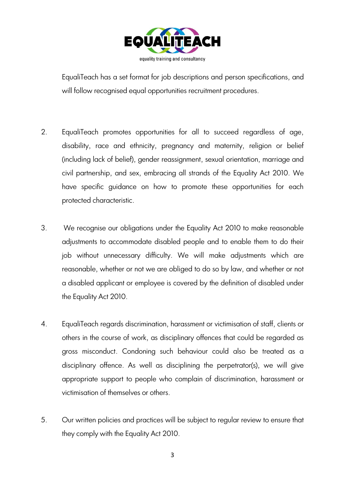

EqualiTeach has a set format for job descriptions and person specifications, and will follow recognised equal opportunities recruitment procedures.

- 2. EqualiTeach promotes opportunities for all to succeed regardless of age, disability, race and ethnicity, pregnancy and maternity, religion or belief (including lack of belief), gender reassignment, sexual orientation, marriage and civil partnership, and sex, embracing all strands of the Equality Act 2010. We have specific guidance on how to promote these opportunities for each protected characteristic.
- 3. We recognise our obligations under the Equality Act 2010 to make reasonable adjustments to accommodate disabled people and to enable them to do their job without unnecessary difficulty. We will make adjustments which are reasonable, whether or not we are obliged to do so by law, and whether or not a disabled applicant or employee is covered by the definition of disabled under the Equality Act 2010.
- 4. EqualiTeach regards discrimination, harassment or victimisation of staff, clients or others in the course of work, as disciplinary offences that could be regarded as gross misconduct. Condoning such behaviour could also be treated as a disciplinary offence. As well as disciplining the perpetrator(s), we will give appropriate support to people who complain of discrimination, harassment or victimisation of themselves or others.
- 5. Our written policies and practices will be subject to regular review to ensure that they comply with the Equality Act 2010.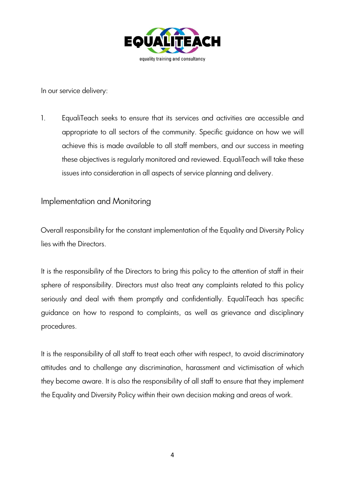

In our service delivery:

1. EqualiTeach seeks to ensure that its services and activities are accessible and appropriate to all sectors of the community. Specific guidance on how we will achieve this is made available to all staff members, and our success in meeting these objectives is regularly monitored and reviewed. EqualiTeach will take these issues into consideration in all aspects of service planning and delivery.

## Implementation and Monitoring

Overall responsibility for the constant implementation of the Equality and Diversity Policy lies with the Directors.

It is the responsibility of the Directors to bring this policy to the attention of staff in their sphere of responsibility. Directors must also treat any complaints related to this policy seriously and deal with them promptly and confidentially. EqualiTeach has specific guidance on how to respond to complaints, as well as grievance and disciplinary procedures.

It is the responsibility of all staff to treat each other with respect, to avoid discriminatory attitudes and to challenge any discrimination, harassment and victimisation of which they become aware. It is also the responsibility of all staff to ensure that they implement the Equality and Diversity Policy within their own decision making and areas of work.